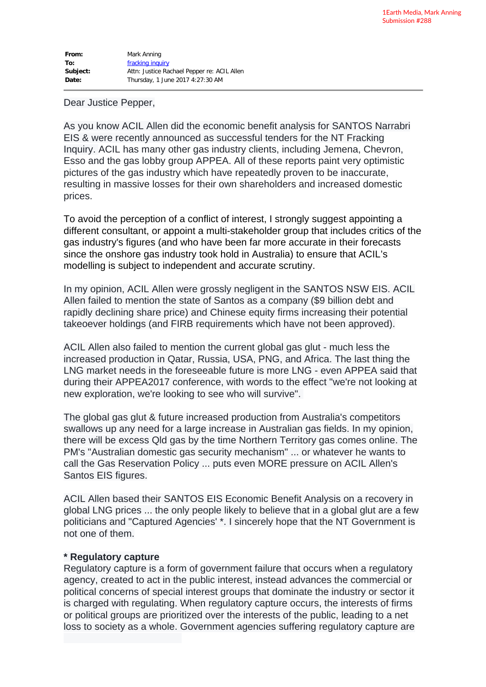| From:    | Mark Anning                                 |
|----------|---------------------------------------------|
| To:      | fracking inquiry                            |
| Subject: | Attn: Justice Rachael Pepper re: ACIL Allen |
| Date:    | Thursday, 1 June 2017 4:27:30 AM            |

#### Dear Justice Pepper,

As you know ACIL Allen did the economic benefit analysis for SANTOS Narrabri EIS & were recently announced as successful tenders for the NT Fracking Inquiry. ACIL has many other gas industry clients, including Jemena, Chevron, Esso and the gas lobby group APPEA. All of these reports paint very optimistic pictures of the gas industry which have repeatedly proven to be inaccurate, resulting in massive losses for their own shareholders and increased domestic prices.

To avoid the perception of a conflict of interest, I strongly suggest appointing a different consultant, or appoint a multi-stakeholder group that includes critics of the gas industry's figures (and who have been far more accurate in their forecasts since the onshore gas industry took hold in Australia) to ensure that ACIL's modelling is subject to independent and accurate scrutiny.

In my opinion, ACIL Allen were grossly negligent in the SANTOS NSW EIS. ACIL Allen failed to mention the state of Santos as a company (\$9 billion debt and rapidly declining share price) and Chinese equity firms increasing their potential takeoever holdings (and FIRB requirements which have not been approved).

ACIL Allen also failed to mention the current global gas glut - much less the increased production in Qatar, Russia, USA, PNG, and Africa. The last thing the LNG market needs in the foreseeable future is more LNG - even APPEA said that during their APPEA2017 conference, with words to the effect "we're not looking at new exploration, we're looking to see who will survive".

The global gas glut & future increased production from Australia's competitors swallows up any need for a large increase in Australian gas fields. In my opinion, there will be excess Qld gas by the time Northern Territory gas comes online. The PM's "Australian domestic gas security mechanism" ... or whatever he wants to call the Gas Reservation Policy ... puts even MORE pressure on ACIL Allen's Santos EIS figures.

ACIL Allen based their SANTOS EIS Economic Benefit Analysis on a recovery in global LNG prices ... the only people likely to believe that in a global glut are a few politicians and "Captured Agencies' \*. I sincerely hope that the NT Government is not one of them.

#### **\* Regulatory capture**

Regulatory capture is a form of government failure that occurs when a regulatory agency, created to act in the public interest, instead advances the commercial or political concerns of special interest groups that dominate the industry or sector it is charged with regulating. When regulatory capture occurs, the interests of firms or political groups are prioritized over the interests of the public, leading to a net loss to society as a whole. Government agencies suffering regulatory capture are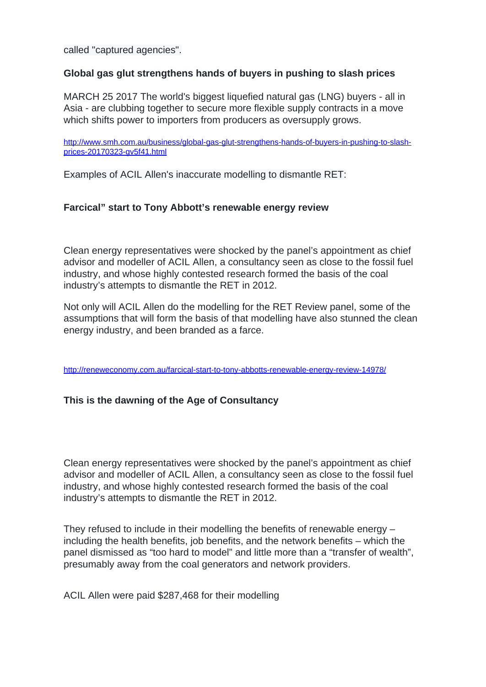called "captured agencies".

# **Global gas glut strengthens hands of buyers in pushing to slash prices**

MARCH 25 2017 The world's biggest liquefied natural gas (LNG) buyers - all in Asia - are clubbing together to secure more flexible supply contracts in a move which shifts power to importers from producers as oversupply grows.

[http://www.smh.com.au/business/global-gas-glut-strengthens-hands-of-buyers-in-pushing-to-slash](http://www.smh.com.au/business/global-gas-glut-strengthens-hands-of-buyers-in-pushing-to-slash-prices-20170323-gv5f41.html)[prices-20170323-gv5f41.html](http://www.smh.com.au/business/global-gas-glut-strengthens-hands-of-buyers-in-pushing-to-slash-prices-20170323-gv5f41.html)

Examples of ACIL Allen's inaccurate modelling to dismantle RET:

## **Farcical" start to Tony Abbott's renewable energy review**

Clean energy representatives were shocked by the panel's appointment as chief advisor and modeller of ACIL Allen, a consultancy seen as close to the fossil fuel industry, and whose highly contested research formed the basis of the coal industry's attempts to dismantle the RET in 2012.

Not only will ACIL Allen do the modelling for the RET Review panel, some of the assumptions that will form the basis of that modelling have also stunned the clean energy industry, and been branded as a farce.

<http://reneweconomy.com.au/farcical-start-to-tony-abbotts-renewable-energy-review-14978/>

## **This is the dawning of the Age of Consultancy**

Clean energy representatives were shocked by the panel's appointment as chief advisor and modeller of ACIL Allen, a consultancy seen as close to the fossil fuel industry, and whose highly contested research formed the basis of the coal industry's attempts to dismantle the RET in 2012.

They refused to include in their modelling the benefits of renewable energy – including the health benefits, job benefits, and the network benefits – which the panel dismissed as "too hard to model" and little more than a "transfer of wealth", presumably away from the coal generators and network providers.

ACIL Allen were paid \$287,468 for their modelling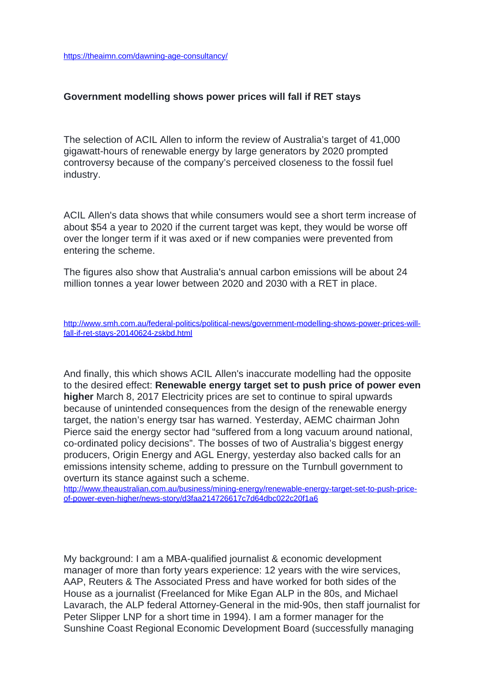### **Government modelling shows power prices will fall if RET stays**

The selection of ACIL Allen to inform the review of Australia's target of 41,000 gigawatt-hours of renewable energy by large generators by 2020 prompted controversy because of the company's perceived closeness to the fossil fuel industry.

ACIL Allen's data shows that while consumers would see a short term increase of about \$54 a year to 2020 if the current target was kept, they would be worse off over the longer term if it was axed or if new companies were prevented from entering the scheme.

The figures also show that Australia's annual carbon emissions will be about 24 million tonnes a year lower between 2020 and 2030 with a RET in place.

[http://www.smh.com.au/federal-politics/political-news/government-modelling-shows-power-prices-will](http://www.smh.com.au/federal-politics/political-news/government-modelling-shows-power-prices-will-fall-if-ret-stays-20140624-zskbd.html)[fall-if-ret-stays-20140624-zskbd.html](http://www.smh.com.au/federal-politics/political-news/government-modelling-shows-power-prices-will-fall-if-ret-stays-20140624-zskbd.html)

And finally, this which shows ACIL Allen's inaccurate modelling had the opposite to the desired effect: **Renewable energy target set to push price of power even higher** March 8, 2017 Electricity prices are set to continue to spiral upwards because of unintended consequences from the design of the renewable energy target, the nation's energy tsar has warned. Yesterday, AEMC chairman John Pierce said the energy sector had "suffered from a long vacuum around national, co-ordinated policy decisions". The bosses of two of Australia's biggest energy producers, Origin Energy and AGL Energy, yesterday also backed calls for an emissions intensity scheme, adding to pressure on the Turnbull government to overturn its stance against such a scheme.

[http://www.theaustralian.com.au/business/mining-energy/renewable-energy-target-set-to-push-price](http://www.theaustralian.com.au/business/mining-energy/renewable-energy-target-set-to-push-price-of-power-even-higher/news-story/d3faa214726617c7d64dbc022c20f1a6)[of-power-even-higher/news-story/d3faa214726617c7d64dbc022c20f1a6](http://www.theaustralian.com.au/business/mining-energy/renewable-energy-target-set-to-push-price-of-power-even-higher/news-story/d3faa214726617c7d64dbc022c20f1a6)

My background: I am a MBA-qualified journalist & economic development manager of more than forty years experience: 12 years with the wire services, AAP, Reuters & The Associated Press and have worked for both sides of the House as a journalist (Freelanced for Mike Egan ALP in the 80s, and Michael Lavarach, the ALP federal Attorney-General in the mid-90s, then staff journalist for Peter Slipper LNP for a short time in 1994). I am a former manager for the Sunshine Coast Regional Economic Development Board (successfully managing